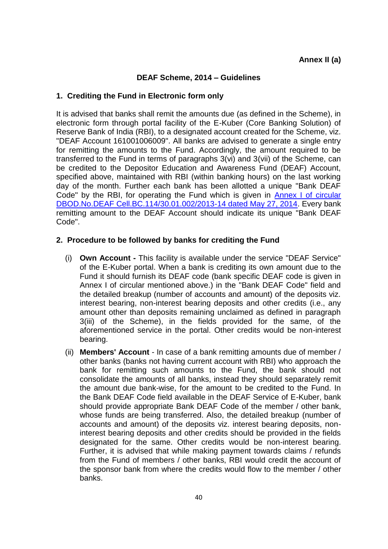## **DEAF Scheme, 2014 – Guidelines**

## **1. Crediting the Fund in Electronic form only**

It is advised that banks shall remit the amounts due (as defined in the Scheme), in electronic form through portal facility of the E-Kuber (Core Banking Solution) of Reserve Bank of India (RBI), to a designated account created for the Scheme, viz. "DEAF Account 161001006009". All banks are advised to generate a single entry for remitting the amounts to the Fund. Accordingly, the amount required to be transferred to the Fund in terms of paragraphs 3(vi) and 3(vii) of the Scheme, can be credited to the Depositor Education and Awareness Fund (DEAF) Account, specified above, maintained with RBI (within banking hours) on the last working day of the month. Further each bank has been allotted a unique "Bank DEAF Code" by the RBI, for operating the Fund which is given in [Annex I of circular](https://rbidocs.rbi.org.in/rdocs/content/pdfs/DEAC27052014_A1.pdf)  [DBOD.No.DEAF Cell.BC.114/30.01.002/2013-14 dated May 27, 2014.](https://rbidocs.rbi.org.in/rdocs/content/pdfs/DEAC27052014_A1.pdf) Every bank remitting amount to the DEAF Account should indicate its unique "Bank DEAF Code".

## **2. Procedure to be followed by banks for crediting the Fund**

- (i) **Own Account -** This facility is available under the service "DEAF Service" of the E-Kuber portal. When a bank is crediting its own amount due to the Fund it should furnish its DEAF code (bank specific DEAF code is given in Annex I of circular mentioned above.) in the "Bank DEAF Code" field and the detailed breakup (number of accounts and amount) of the deposits viz. interest bearing, non-interest bearing deposits and other credits (i.e., any amount other than deposits remaining unclaimed as defined in paragraph 3(iii) of the Scheme), in the fields provided for the same, of the aforementioned service in the portal. Other credits would be non-interest bearing.
- (ii) **Members' Account** In case of a bank remitting amounts due of member / other banks (banks not having current account with RBI) who approach the bank for remitting such amounts to the Fund, the bank should not consolidate the amounts of all banks, instead they should separately remit the amount due bank-wise, for the amount to be credited to the Fund. In the Bank DEAF Code field available in the DEAF Service of E-Kuber, bank should provide appropriate Bank DEAF Code of the member / other bank, whose funds are being transferred. Also, the detailed breakup (number of accounts and amount) of the deposits viz. interest bearing deposits, noninterest bearing deposits and other credits should be provided in the fields designated for the same. Other credits would be non-interest bearing. Further, it is advised that while making payment towards claims / refunds from the Fund of members / other banks, RBI would credit the account of the sponsor bank from where the credits would flow to the member / other banks.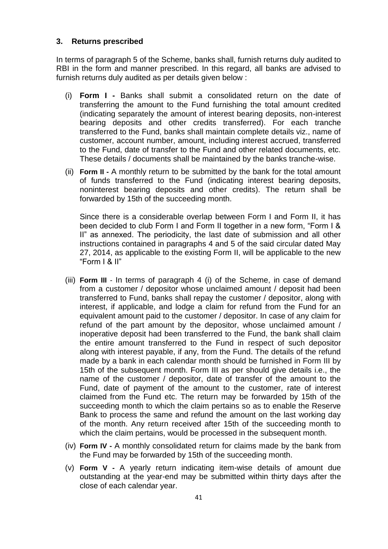### **3. Returns prescribed**

In terms of paragraph 5 of the Scheme, banks shall, furnish returns duly audited to RBI in the form and manner prescribed. In this regard, all banks are advised to furnish returns duly audited as per details given below :

- (i) **Form I -** Banks shall submit a consolidated return on the date of transferring the amount to the Fund furnishing the total amount credited (indicating separately the amount of interest bearing deposits, non-interest bearing deposits and other credits transferred). For each tranche transferred to the Fund, banks shall maintain complete details viz., name of customer, account number, amount, including interest accrued, transferred to the Fund, date of transfer to the Fund and other related documents, etc. These details / documents shall be maintained by the banks tranche-wise.
- (ii) **Form II -** A monthly return to be submitted by the bank for the total amount of funds transferred to the Fund (indicating interest bearing deposits, noninterest bearing deposits and other credits). The return shall be forwarded by 15th of the succeeding month.

Since there is a considerable overlap between Form I and Form II, it has been decided to club Form I and Form II together in a new form, "Form I & II" as annexed. The periodicity, the last date of submission and all other instructions contained in paragraphs 4 and 5 of the said circular dated May 27, 2014, as applicable to the existing Form II, will be applicable to the new "Form I & II"

- (iii) **Form III** In terms of paragraph 4 (i) of the Scheme, in case of demand from a customer / depositor whose unclaimed amount / deposit had been transferred to Fund, banks shall repay the customer / depositor, along with interest, if applicable, and lodge a claim for refund from the Fund for an equivalent amount paid to the customer / depositor. In case of any claim for refund of the part amount by the depositor, whose unclaimed amount / inoperative deposit had been transferred to the Fund, the bank shall claim the entire amount transferred to the Fund in respect of such depositor along with interest payable, if any, from the Fund. The details of the refund made by a bank in each calendar month should be furnished in Form III by 15th of the subsequent month. Form III as per should give details i.e., the name of the customer / depositor, date of transfer of the amount to the Fund, date of payment of the amount to the customer, rate of interest claimed from the Fund etc. The return may be forwarded by 15th of the succeeding month to which the claim pertains so as to enable the Reserve Bank to process the same and refund the amount on the last working day of the month. Any return received after 15th of the succeeding month to which the claim pertains, would be processed in the subsequent month.
- (iv) **Form IV -** A monthly consolidated return for claims made by the bank from the Fund may be forwarded by 15th of the succeeding month.
- (v) **Form V -** A yearly return indicating item-wise details of amount due outstanding at the year-end may be submitted within thirty days after the close of each calendar year.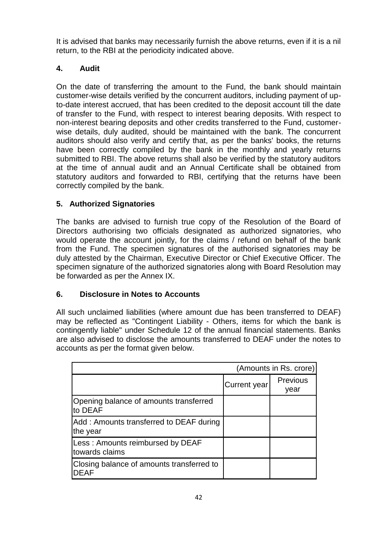It is advised that banks may necessarily furnish the above returns, even if it is a nil return, to the RBI at the periodicity indicated above.

# **4. Audit**

On the date of transferring the amount to the Fund, the bank should maintain customer-wise details verified by the concurrent auditors, including payment of upto-date interest accrued, that has been credited to the deposit account till the date of transfer to the Fund, with respect to interest bearing deposits. With respect to non-interest bearing deposits and other credits transferred to the Fund, customerwise details, duly audited, should be maintained with the bank. The concurrent auditors should also verify and certify that, as per the banks' books, the returns have been correctly compiled by the bank in the monthly and yearly returns submitted to RBI. The above returns shall also be verified by the statutory auditors at the time of annual audit and an Annual Certificate shall be obtained from statutory auditors and forwarded to RBI, certifying that the returns have been correctly compiled by the bank.

# **5. Authorized Signatories**

The banks are advised to furnish true copy of the Resolution of the Board of Directors authorising two officials designated as authorized signatories, who would operate the account jointly, for the claims / refund on behalf of the bank from the Fund. The specimen signatures of the authorised signatories may be duly attested by the Chairman, Executive Director or Chief Executive Officer. The specimen signature of the authorized signatories along with Board Resolution may be forwarded as per the Annex IX.

## **6. Disclosure in Notes to Accounts**

All such unclaimed liabilities (where amount due has been transferred to DEAF) may be reflected as "Contingent Liability - Others, items for which the bank is contingently liable" under Schedule 12 of the annual financial statements. Banks are also advised to disclose the amounts transferred to DEAF under the notes to accounts as per the format given below.

|                                                          |                     | (Amounts in Rs. crore)  |
|----------------------------------------------------------|---------------------|-------------------------|
|                                                          | <b>Current year</b> | <b>Previous</b><br>year |
| Opening balance of amounts transferred<br>to DEAF        |                     |                         |
| Add: Amounts transferred to DEAF during<br>the year      |                     |                         |
| Less: Amounts reimbursed by DEAF<br>towards claims       |                     |                         |
| Closing balance of amounts transferred to<br><b>DEAF</b> |                     |                         |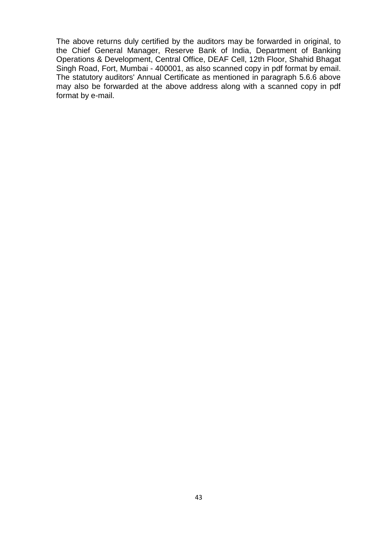The above returns duly certified by the auditors may be forwarded in original, to the Chief General Manager, Reserve Bank of India, Department of Banking Operations & Development, Central Office, DEAF Cell, 12th Floor, Shahid Bhagat Singh Road, Fort, Mumbai - 400001, as also scanned copy in pdf format by email. The statutory auditors' Annual Certificate as mentioned in paragraph 5.6.6 above may also be forwarded at the above address along with a scanned copy in pdf format by e-mail.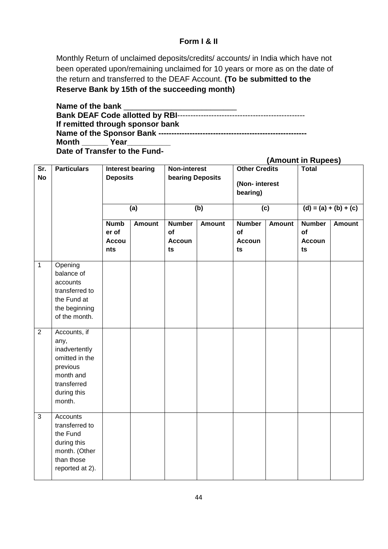## **Form I & II**

Monthly Return of unclaimed deposits/credits/ accounts/ in India which have not been operated upon/remaining unclaimed for 10 years or more as on the date of the return and transferred to the DEAF Account. **(To be submitted to the Reserve Bank by 15th of the succeeding month)**

Name of the bank **Bank DEAF Code allotted by RBI**------------------------------------------------- **If remitted through sponsor bank Name of the Sponsor Bank ---------------------------------------------------------** Month \_\_\_\_\_\_\_\_ Year **Date of Transfer to the Fund-**

|                                      |                                                                                                                          |                                             |                                                                                |                                                   |                                                   |                                            | (Amount in Rupees) |                                            |               |
|--------------------------------------|--------------------------------------------------------------------------------------------------------------------------|---------------------------------------------|--------------------------------------------------------------------------------|---------------------------------------------------|---------------------------------------------------|--------------------------------------------|--------------------|--------------------------------------------|---------------|
| $\overline{\text{Sr.}}$<br><b>No</b> | <b>Particulars</b>                                                                                                       |                                             | Non-interest<br><b>Interest bearing</b><br><b>Deposits</b><br>bearing Deposits |                                                   | <b>Other Credits</b><br>(Non-interest<br>bearing) |                                            | <b>Total</b>       |                                            |               |
|                                      |                                                                                                                          | (a)                                         |                                                                                | (b)                                               |                                                   | (c)                                        |                    | $(d) = (a) + (b) + (c)$                    |               |
|                                      |                                                                                                                          | <b>Numb</b><br>er of<br><b>Accou</b><br>nts | <b>Amount</b>                                                                  | <b>Number</b><br><b>of</b><br><b>Accoun</b><br>ts | <b>Amount</b>                                     | <b>Number</b><br>of<br><b>Accoun</b><br>ts | <b>Amount</b>      | <b>Number</b><br>of<br><b>Accoun</b><br>ts | <b>Amount</b> |
| $\overline{1}$                       | Opening<br>balance of<br>accounts<br>transferred to<br>the Fund at<br>the beginning<br>of the month.                     |                                             |                                                                                |                                                   |                                                   |                                            |                    |                                            |               |
| $\overline{2}$                       | Accounts, if<br>any,<br>inadvertently<br>omitted in the<br>previous<br>month and<br>transferred<br>during this<br>month. |                                             |                                                                                |                                                   |                                                   |                                            |                    |                                            |               |
| $\mathbf{3}$                         | Accounts<br>transferred to<br>the Fund<br>during this<br>month. (Other<br>than those<br>reported at 2).                  |                                             |                                                                                |                                                   |                                                   |                                            |                    |                                            |               |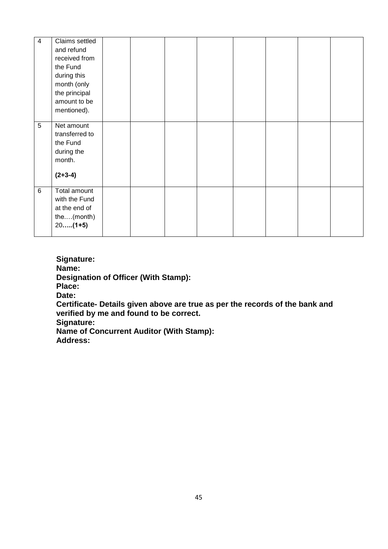| 4 | Claims settled |  |  |  |  |
|---|----------------|--|--|--|--|
|   | and refund     |  |  |  |  |
|   | received from  |  |  |  |  |
|   | the Fund       |  |  |  |  |
|   | during this    |  |  |  |  |
|   | month (only    |  |  |  |  |
|   | the principal  |  |  |  |  |
|   | amount to be   |  |  |  |  |
|   | mentioned).    |  |  |  |  |
|   |                |  |  |  |  |
| 5 | Net amount     |  |  |  |  |
|   | transferred to |  |  |  |  |
|   | the Fund       |  |  |  |  |
|   | during the     |  |  |  |  |
|   | month.         |  |  |  |  |
|   |                |  |  |  |  |
|   | $(2+3-4)$      |  |  |  |  |
|   |                |  |  |  |  |
| 6 | Total amount   |  |  |  |  |
|   | with the Fund  |  |  |  |  |
|   | at the end of  |  |  |  |  |
|   | the(month)     |  |  |  |  |
|   | $20$ $(1+5)$   |  |  |  |  |
|   |                |  |  |  |  |

**Signature: Name: Designation of Officer (With Stamp): Place: Date: Certificate- Details given above are true as per the records of the bank and verified by me and found to be correct. Signature:** 

**Name of Concurrent Auditor (With Stamp): Address:**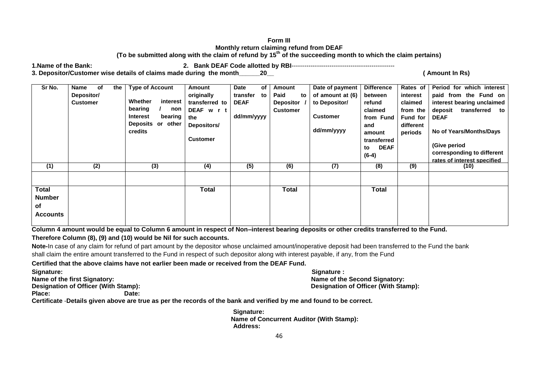#### **Form III Monthly return claiming refund from DEAF (To be submitted along with the claim of refund by 15th of the succeeding month to which the claim pertains)**

**1.Name of the Bank: 2. Bank DEAF Code allotted by RBI**-------------------------------------------------

**3. Depositor/Customer wise details of claims made during the month\_\_\_\_\_\_20\_\_ ( Amount In Rs)**

| Sr No.                                                        | of<br>Name<br>Depositor/<br><b>Customer</b> | <b>Type of Account</b><br>the  <br>Whether<br>interest<br>bearing<br>non<br><b>Interest</b><br>bearing<br>Deposits or other<br>credits | Amount<br>originally<br>transferred to<br>DEAF w r t<br>the<br>Depositors/<br><b>Customer</b> | <b>Date</b><br>transfer<br><b>DEAF</b><br>dd/mm/yyyy | of<br>to | Amount<br>Paid<br>to<br><b>Depositor</b><br><b>Customer</b> | Date of payment<br>of amount at (6)<br>to Depositor/<br><b>Customer</b><br>dd/mm/yyyy | <b>Difference</b><br>between<br>refund<br>claimed<br>from Fund<br>and<br>amount<br>transferred<br><b>DEAF</b><br>to<br>$(6-4)$ | Rates of<br>interest<br>claimed<br>from the<br>Fund for<br>different<br>periods | Period for which interest<br>paid from the Fund on<br>interest bearing unclaimed<br>transferred<br>deposit<br>to<br><b>DEAF</b><br>No of Years/Months/Days<br>(Give period<br>corresponding to different<br>rates of interest specified |
|---------------------------------------------------------------|---------------------------------------------|----------------------------------------------------------------------------------------------------------------------------------------|-----------------------------------------------------------------------------------------------|------------------------------------------------------|----------|-------------------------------------------------------------|---------------------------------------------------------------------------------------|--------------------------------------------------------------------------------------------------------------------------------|---------------------------------------------------------------------------------|-----------------------------------------------------------------------------------------------------------------------------------------------------------------------------------------------------------------------------------------|
| (1)<br><b>Total</b><br><b>Number</b><br>of<br><b>Accounts</b> | (2)                                         | (3)                                                                                                                                    | (4)<br><b>Total</b>                                                                           | (5)                                                  |          | (6)<br><b>Total</b>                                         | (7)                                                                                   | (8)<br><b>Total</b>                                                                                                            | (9)                                                                             | (10)                                                                                                                                                                                                                                    |

**Column 4 amount would be equal to Column 6 amount in respect of Non–interest bearing deposits or other credits transferred to the Fund. Therefore Column (8), (9) and (10) would be Nil for such accounts.**

**Note-**In case of any claim for refund of part amount by the depositor whose unclaimed amount/inoperative deposit had been transferred to the Fund the bank shall claim the entire amount transferred to the Fund in respect of such depositor along with interest payable, if any, from the Fund

**Certified that the above claims have not earlier been made or received from the DEAF Fund.**

**Signature: Signature : Name of the first Signatory: Name of the Second Signatory: Designation of Officer (With Stamp): Designation of Officer (With Stamp):**

Place: Date:

**Certificate** -**Details given above are true as per the records of the bank and verified by me and found to be correct.**

 **Signature: Name of Concurrent Auditor (With Stamp): Address:**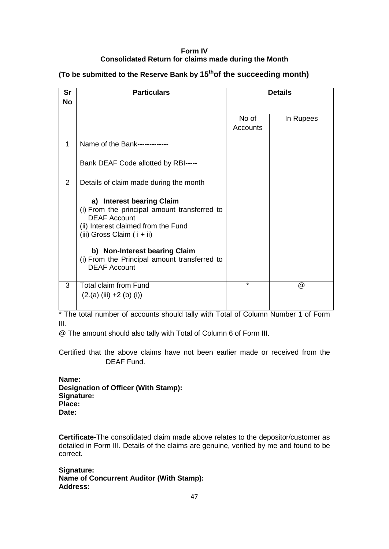### **Form IV Consolidated Return for claims made during the Month**

| Sr<br><b>No</b> | <b>Particulars</b>                                                                                                                                                                                                                                         |                   | <b>Details</b> |
|-----------------|------------------------------------------------------------------------------------------------------------------------------------------------------------------------------------------------------------------------------------------------------------|-------------------|----------------|
|                 |                                                                                                                                                                                                                                                            | No of<br>Accounts | In Rupees      |
| 1               | Name of the Bank-------------                                                                                                                                                                                                                              |                   |                |
|                 | Bank DEAF Code allotted by RBI-----                                                                                                                                                                                                                        |                   |                |
| 2               | Details of claim made during the month                                                                                                                                                                                                                     |                   |                |
|                 | a) Interest bearing Claim<br>(i) From the principal amount transferred to<br><b>DEAF Account</b><br>(ii) Interest claimed from the Fund<br>(iii) Gross Claim ( $i + ii$ )<br>b) Non-Interest bearing Claim<br>(i) From the Principal amount transferred to |                   |                |
|                 | <b>DEAF Account</b>                                                                                                                                                                                                                                        |                   |                |
| 3               | <b>Total claim from Fund</b><br>$(2.(a) (iii) +2 (b) (i))$                                                                                                                                                                                                 | $\star$           | @              |

## **(To be submitted to the Reserve Bank by 15thof the succeeding month)**

\* The total number of accounts should tally with Total of Column Number 1 of Form III.

@ The amount should also tally with Total of Column 6 of Form III.

Certified that the above claims have not been earlier made or received from the DEAF Fund.

**Name: Designation of Officer (With Stamp): Signature: Place: Date:**

**Certificate-**The consolidated claim made above relates to the depositor/customer as detailed in Form III. Details of the claims are genuine, verified by me and found to be correct.

**Signature: Name of Concurrent Auditor (With Stamp): Address:**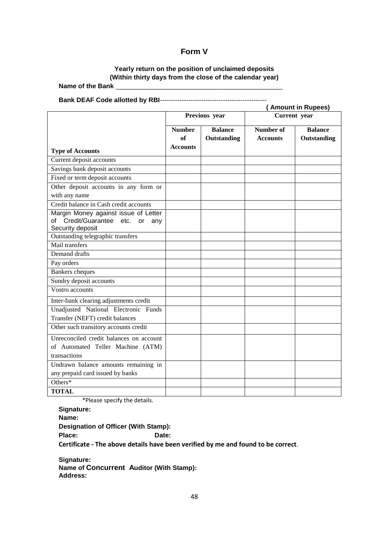## **Form V**

# **Yearly return on the position of unclaimed deposits (Within thirty days from the close of the calendar year)**

Name of the Bank

**Bank DEAF Code allotted by RBI**-------------------------------------------------

|                                                                                                |                     |                               |                                     | <b>Amount in Rupees)</b>      |  |
|------------------------------------------------------------------------------------------------|---------------------|-------------------------------|-------------------------------------|-------------------------------|--|
|                                                                                                |                     | Previous year                 | Current year                        |                               |  |
|                                                                                                | <b>Number</b><br>of | <b>Balance</b><br>Outstanding | <b>Number of</b><br><b>Accounts</b> | <b>Balance</b><br>Outstanding |  |
| <b>Type of Accounts</b>                                                                        | <b>Accounts</b>     |                               |                                     |                               |  |
| Current deposit accounts                                                                       |                     |                               |                                     |                               |  |
| Savings bank deposit accounts                                                                  |                     |                               |                                     |                               |  |
| Fixed or term deposit accounts                                                                 |                     |                               |                                     |                               |  |
| Other deposit accounts in any form or                                                          |                     |                               |                                     |                               |  |
| with any name                                                                                  |                     |                               |                                     |                               |  |
| Credit balance in Cash credit accounts                                                         |                     |                               |                                     |                               |  |
| Margin Money against issue of Letter<br>of Credit/Guarantee etc. or<br>any<br>Security deposit |                     |                               |                                     |                               |  |
| Outstanding telegraphic transfers                                                              |                     |                               |                                     |                               |  |
| Mail transfers                                                                                 |                     |                               |                                     |                               |  |
| Demand drafts                                                                                  |                     |                               |                                     |                               |  |
| Pay orders                                                                                     |                     |                               |                                     |                               |  |
| <b>Bankers</b> cheques                                                                         |                     |                               |                                     |                               |  |
| Sundry deposit accounts                                                                        |                     |                               |                                     |                               |  |
| Vostro accounts                                                                                |                     |                               |                                     |                               |  |
| Inter-bank clearing adjustments credit                                                         |                     |                               |                                     |                               |  |
| Unadjusted National Electronic Funds                                                           |                     |                               |                                     |                               |  |
| Transfer (NEFT) credit balances                                                                |                     |                               |                                     |                               |  |
| Other such transitory accounts credit                                                          |                     |                               |                                     |                               |  |
| Unreconciled credit balances on account<br>of Automated Teller Machine (ATM)<br>transactions   |                     |                               |                                     |                               |  |
| Undrawn balance amounts remaining in<br>any prepaid card issued by banks                       |                     |                               |                                     |                               |  |
| Others*                                                                                        |                     |                               |                                     |                               |  |
| <b>TOTAL</b>                                                                                   |                     |                               |                                     |                               |  |

\*Please specify the details.

**Signature: Name: Designation of Officer (With Stamp):** Place: Date: **Certificate - The above details have been verified by me and found to be correct**.

**Signature: Name of Concurrent Auditor (With Stamp): Address:**